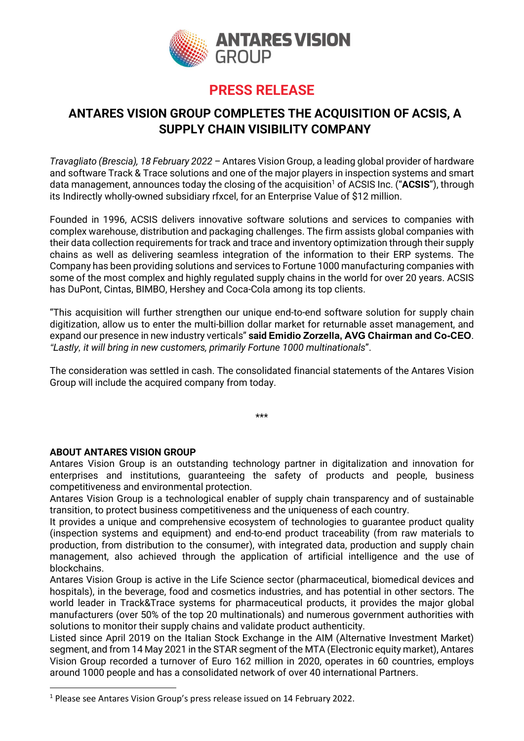

## PRESS RELEASE

### ANTARES VISION GROUP COMPLETES THE ACQUISITION OF ACSIS, A SUPPLY CHAIN VISIBILITY COMPANY

Travagliato (Brescia), 18 February 2022 – Antares Vision Group, a leading global provider of hardware and software Track & Trace solutions and one of the major players in inspection systems and smart data management, announces today the closing of the acquisition<sup>1</sup> of ACSIS Inc. ("ACSIS"), through its Indirectly wholly-owned subsidiary rfxcel, for an Enterprise Value of \$12 million.

Founded in 1996, ACSIS delivers innovative software solutions and services to companies with complex warehouse, distribution and packaging challenges. The firm assists global companies with their data collection requirements for track and trace and inventory optimization through their supply chains as well as delivering seamless integration of the information to their ERP systems. The Company has been providing solutions and services to Fortune 1000 manufacturing companies with some of the most complex and highly regulated supply chains in the world for over 20 years. ACSIS has DuPont, Cintas, BIMBO, Hershey and Coca-Cola among its top clients.

"This acquisition will further strengthen our unique end-to-end software solution for supply chain digitization, allow us to enter the multi-billion dollar market for returnable asset management, and expand our presence in new industry verticals" said Emidio Zorzella, AVG Chairman and Co-CEO. "Lastly, it will bring in new customers, primarily Fortune 1000 multinationals".

The consideration was settled in cash. The consolidated financial statements of the Antares Vision Group will include the acquired company from today.

\*\*\*

#### ABOUT ANTARES VISION GROUP

Antares Vision Group is an outstanding technology partner in digitalization and innovation for enterprises and institutions, guaranteeing the safety of products and people, business competitiveness and environmental protection.

Antares Vision Group is a technological enabler of supply chain transparency and of sustainable transition, to protect business competitiveness and the uniqueness of each country.

It provides a unique and comprehensive ecosystem of technologies to guarantee product quality (inspection systems and equipment) and end-to-end product traceability (from raw materials to production, from distribution to the consumer), with integrated data, production and supply chain management, also achieved through the application of artificial intelligence and the use of blockchains.

Antares Vision Group is active in the Life Science sector (pharmaceutical, biomedical devices and hospitals), in the beverage, food and cosmetics industries, and has potential in other sectors. The world leader in Track&Trace systems for pharmaceutical products, it provides the major global manufacturers (over 50% of the top 20 multinationals) and numerous government authorities with solutions to monitor their supply chains and validate product authenticity.

Listed since April 2019 on the Italian Stock Exchange in the AIM (Alternative Investment Market) segment, and from 14 May 2021 in the STAR segment of the MTA (Electronic equity market), Antares Vision Group recorded a turnover of Euro 162 million in 2020, operates in 60 countries, employs around 1000 people and has a consolidated network of over 40 international Partners.

<sup>&</sup>lt;sup>1</sup> Please see Antares Vision Group's press release issued on 14 February 2022.